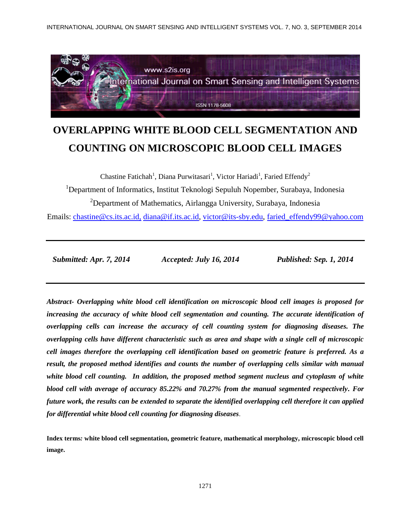INTERNATIONAL JOURNAL ON SMART SENSING AND INTELLIGENT SYSTEMS VOL. 7, NO. 3, SEPTEMBER 2014



# **OVERLAPPING WHITE BLOOD CELL SEGMENTATION AND COUNTING ON MICROSCOPIC BLOOD CELL IMAGES**

Chastine Fatichah<sup>1</sup>, Diana Purwitasari<sup>1</sup>, Victor Hariadi<sup>1</sup>, Faried Effendy<sup>2</sup>

<sup>1</sup>Department of Informatics, Institut Teknologi Sepuluh Nopember, Surabaya, Indonesia

<sup>2</sup>Department of Mathematics, Airlangga University, Surabaya, Indonesia

Emails: [chastine@cs.its.ac.id,](mailto:chastine@cs.its.ac.id,) [diana@if.its.ac.id,](mailto:diana@if.its.ac.id) [victor@its-sby.edu,](mailto:victor@its-sby.edu) [faried\\_effendy99@yahoo.com](mailto:faried_effendy99@yahoo.com)

 *Submitted: Apr. 7, 2014 Accepted: July 16, 2014 Published: Sep. 1, 2014*

*Abstract- Overlapping white blood cell identification on microscopic blood cell images is proposed for increasing the accuracy of white blood cell segmentation and counting. The accurate identification of overlapping cells can increase the accuracy of cell counting system for diagnosing diseases. The overlapping cells have different characteristic such as area and shape with a single cell of microscopic cell images therefore the overlapping cell identification based on geometric feature is preferred. As a result, the proposed method identifies and counts the number of overlapping cells similar with manual white blood cell counting. In addition, the proposed method segment nucleus and cytoplasm of white blood cell with average of accuracy 85.22% and 70.27% from the manual segmented respectively. For future work, the results can be extended to separate the identified overlapping cell therefore it can applied for differential white blood cell counting for diagnosing diseases*.

**Index terms***:* **white blood cell segmentation, geometric feature, mathematical morphology, microscopic blood cell image.**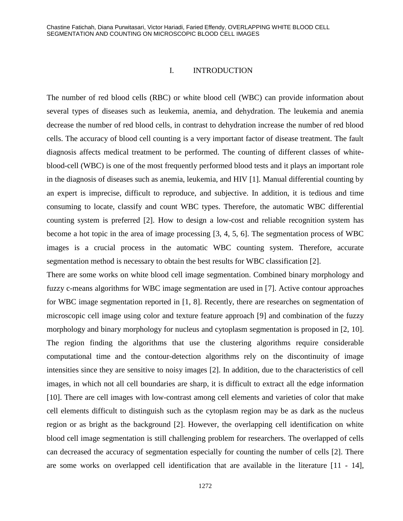#### I. INTRODUCTION

The number of red blood cells (RBC) or white blood cell (WBC) can provide information about several types of diseases such as leukemia, anemia, and dehydration. The leukemia and anemia decrease the number of red blood cells, in contrast to dehydration increase the number of red blood cells. The accuracy of blood cell counting is a very important factor of disease treatment. The fault diagnosis affects medical treatment to be performed. The counting of different classes of whiteblood-cell (WBC) is one of the most frequently performed blood tests and it plays an important role in the diagnosis of diseases such as anemia, leukemia, and HIV [1]. Manual differential counting by an expert is imprecise, difficult to reproduce, and subjective. In addition, it is tedious and time consuming to locate, classify and count WBC types. Therefore, the automatic WBC differential counting system is preferred [2]. How to design a low-cost and reliable recognition system has become a hot topic in the area of image processing [3, 4, 5, 6]. The segmentation process of WBC images is a crucial process in the automatic WBC counting system. Therefore, accurate segmentation method is necessary to obtain the best results for WBC classification [2].

There are some works on white blood cell image segmentation. Combined binary morphology and fuzzy c-means algorithms for WBC image segmentation are used in [7]. Active contour approaches for WBC image segmentation reported in [1, 8]. Recently, there are researches on segmentation of microscopic cell image using color and texture feature approach [9] and combination of the fuzzy morphology and binary morphology for nucleus and cytoplasm segmentation is proposed in [2, 10]. The region finding the algorithms that use the clustering algorithms require considerable computational time and the contour-detection algorithms rely on the discontinuity of image intensities since they are sensitive to noisy images [2]. In addition, due to the characteristics of cell images, in which not all cell boundaries are sharp, it is difficult to extract all the edge information [10]. There are cell images with low-contrast among cell elements and varieties of color that make cell elements difficult to distinguish such as the cytoplasm region may be as dark as the nucleus region or as bright as the background [2]. However, the overlapping cell identification on white blood cell image segmentation is still challenging problem for researchers. The overlapped of cells can decreased the accuracy of segmentation especially for counting the number of cells [2]. There are some works on overlapped cell identification that are available in the literature [11 - 14],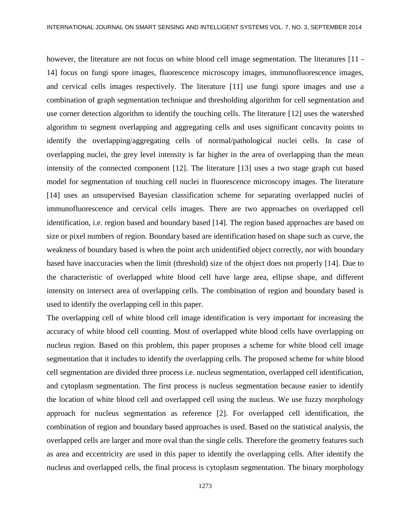however, the literature are not focus on white blood cell image segmentation. The literatures [11 -14] focus on fungi spore images, fluorescence microscopy images, immunofluorescence images, and cervical cells images respectively. The literature [11] use fungi spore images and use a combination of graph segmentation technique and thresholding algorithm for cell segmentation and use corner detection algorithm to identify the touching cells. The literature [12] uses the watershed algorithm to segment overlapping and aggregating cells and uses significant concavity points to identify the overlapping/aggregating cells of normal/pathological nuclei cells. In case of overlapping nuclei, the grey level intensity is far higher in the area of overlapping than the mean intensity of the connected component [12]. The literature [13] uses a two stage graph cut based model for segmentation of touching cell nuclei in fluorescence microscopy images. The literature [14] uses an unsupervised Bayesian classification scheme for separating overlapped nuclei of immunofluorescence and cervical cells images. There are two approaches on overlapped cell identification, i.e. region based and boundary based [14]. The region based approaches are based on size or pixel numbers of region. Boundary based are identification based on shape such as curve, the weakness of boundary based is when the point arch unidentified object correctly, nor with boundary based have inaccuracies when the limit (threshold) size of the object does not properly [14]. Due to the characteristic of overlapped white blood cell have large area, ellipse shape, and different intensity on intersect area of overlapping cells. The combination of region and boundary based is used to identify the overlapping cell in this paper.

The overlapping cell of white blood cell image identification is very important for increasing the accuracy of white blood cell counting. Most of overlapped white blood cells have overlapping on nucleus region. Based on this problem, this paper proposes a scheme for white blood cell image segmentation that it includes to identify the overlapping cells. The proposed scheme for white blood cell segmentation are divided three process i.e. nucleus segmentation, overlapped cell identification, and cytoplasm segmentation. The first process is nucleus segmentation because easier to identify the location of white blood cell and overlapped cell using the nucleus. We use fuzzy morphology approach for nucleus segmentation as reference [2]. For overlapped cell identification, the combination of region and boundary based approaches is used. Based on the statistical analysis, the overlapped cells are larger and more oval than the single cells. Therefore the geometry features such as area and eccentricity are used in this paper to identify the overlapping cells. After identify the nucleus and overlapped cells, the final process is cytoplasm segmentation. The binary morphology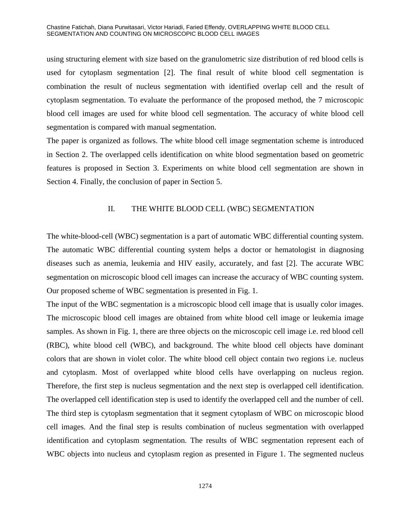using structuring element with size based on the granulometric size distribution of red blood cells is used for cytoplasm segmentation [2]. The final result of white blood cell segmentation is combination the result of nucleus segmentation with identified overlap cell and the result of cytoplasm segmentation. To evaluate the performance of the proposed method, the 7 microscopic blood cell images are used for white blood cell segmentation. The accuracy of white blood cell segmentation is compared with manual segmentation.

The paper is organized as follows. The white blood cell image segmentation scheme is introduced in Section 2. The overlapped cells identification on white blood segmentation based on geometric features is proposed in Section 3. Experiments on white blood cell segmentation are shown in Section 4. Finally, the conclusion of paper in Section 5.

# II. THE WHITE BLOOD CELL (WBC) SEGMENTATION

The white-blood-cell (WBC) segmentation is a part of automatic WBC differential counting system. The automatic WBC differential counting system helps a doctor or hematologist in diagnosing diseases such as anemia, leukemia and HIV easily, accurately, and fast [2]. The accurate WBC segmentation on microscopic blood cell images can increase the accuracy of WBC counting system. Our proposed scheme of WBC segmentation is presented in Fig. 1.

The input of the WBC segmentation is a microscopic blood cell image that is usually color images. The microscopic blood cell images are obtained from white blood cell image or leukemia image samples. As shown in Fig. 1, there are three objects on the microscopic cell image i.e. red blood cell (RBC), white blood cell (WBC), and background. The white blood cell objects have dominant colors that are shown in violet color. The white blood cell object contain two regions i.e. nucleus and cytoplasm. Most of overlapped white blood cells have overlapping on nucleus region. Therefore, the first step is nucleus segmentation and the next step is overlapped cell identification. The overlapped cell identification step is used to identify the overlapped cell and the number of cell. The third step is cytoplasm segmentation that it segment cytoplasm of WBC on microscopic blood cell images. And the final step is results combination of nucleus segmentation with overlapped identification and cytoplasm segmentation. The results of WBC segmentation represent each of WBC objects into nucleus and cytoplasm region as presented in Figure 1. The segmented nucleus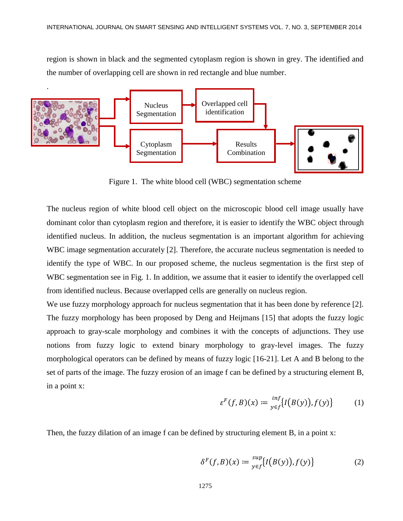region is shown in black and the segmented cytoplasm region is shown in grey. The identified and the number of overlapping cell are shown in red rectangle and blue number.



Figure 1. The white blood cell (WBC) segmentation scheme

The nucleus region of white blood cell object on the microscopic blood cell image usually have dominant color than cytoplasm region and therefore, it is easier to identify the WBC object through identified nucleus. In addition, the nucleus segmentation is an important algorithm for achieving WBC image segmentation accurately [2]. Therefore, the accurate nucleus segmentation is needed to identify the type of WBC. In our proposed scheme, the nucleus segmentation is the first step of WBC segmentation see in Fig. 1. In addition, we assume that it easier to identify the overlapped cell from identified nucleus. Because overlapped cells are generally on nucleus region.

We use fuzzy morphology approach for nucleus segmentation that it has been done by reference [2]. The fuzzy morphology has been proposed by Deng and Heijmans [15] that adopts the fuzzy logic approach to gray-scale morphology and combines it with the concepts of adjunctions. They use notions from fuzzy logic to extend binary morphology to gray-level images. The fuzzy morphological operators can be defined by means of fuzzy logic [16-21]. Let A and B belong to the set of parts of the image. The fuzzy erosion of an image f can be defined by a structuring element B, in a point x:

$$
\varepsilon^F(f, B)(x) := \frac{\inf}{\sup} \{ I(B(y)), f(y) \} \tag{1}
$$

Then, the fuzzy dilation of an image f can be defined by structuring element B, in a point x:

$$
\delta^F(f, B)(x) := \frac{\sup}{y \in f} \{ I(B(y)), f(y) \} \tag{2}
$$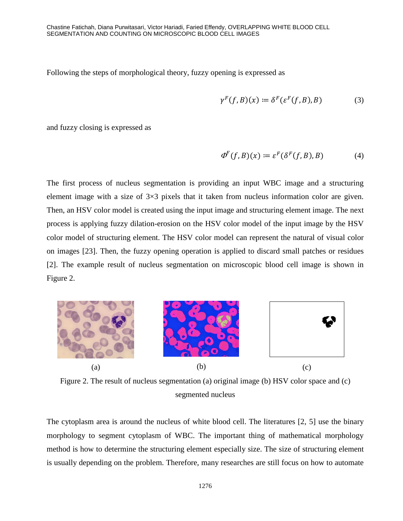Following the steps of morphological theory, fuzzy opening is expressed as

$$
\gamma^F(f, B)(x) \coloneqq \delta^F(\varepsilon^F(f, B), B) \tag{3}
$$

and fuzzy closing is expressed as

$$
\Phi^F(f, B)(x) \coloneqq \varepsilon^F(\delta^F(f, B), B) \tag{4}
$$

The first process of nucleus segmentation is providing an input WBC image and a structuring element image with a size of  $3\times3$  pixels that it taken from nucleus information color are given. Then, an HSV color model is created using the input image and structuring element image. The next process is applying fuzzy dilation-erosion on the HSV color model of the input image by the HSV color model of structuring element. The HSV color model can represent the natural of visual color on images [23]. Then, the fuzzy opening operation is applied to discard small patches or residues [2]. The example result of nucleus segmentation on microscopic blood cell image is shown in Figure 2.



Figure 2. The result of nucleus segmentation (a) original image (b) HSV color space and (c) segmented nucleus

The cytoplasm area is around the nucleus of white blood cell. The literatures [2, 5] use the binary morphology to segment cytoplasm of WBC. The important thing of mathematical morphology method is how to determine the structuring element especially size. The size of structuring element is usually depending on the problem. Therefore, many researches are still focus on how to automate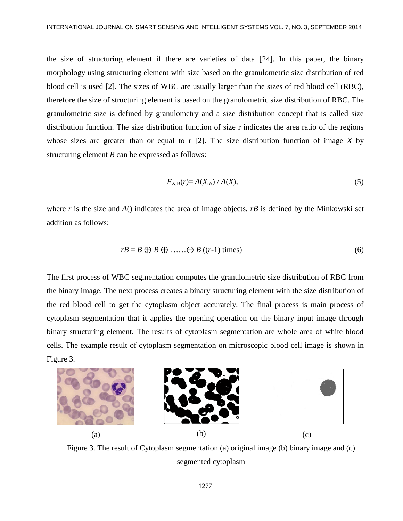the size of structuring element if there are varieties of data [24]. In this paper, the binary morphology using structuring element with size based on the granulometric size distribution of red blood cell is used [2]. The sizes of WBC are usually larger than the sizes of red blood cell (RBC), therefore the size of structuring element is based on the granulometric size distribution of RBC. The granulometric size is defined by granulometry and a size distribution concept that is called size distribution function. The size distribution function of size r indicates the area ratio of the regions whose sizes are greater than or equal to r [2]. The size distribution function of image *X* by structuring element *B* can be expressed as follows:

$$
F_{X,B}(r) = A(X_{tB}) / A(X),\tag{5}
$$

where *r* is the size and *A*() indicates the area of image objects. *rB* is defined by the Minkowski set addition as follows:

$$
rB = B \bigoplus B \bigoplus \ldots \bigoplus B \left( (r-1) \text{ times} \right) \tag{6}
$$

The first process of WBC segmentation computes the granulometric size distribution of RBC from the binary image. The next process creates a binary structuring element with the size distribution of the red blood cell to get the cytoplasm object accurately. The final process is main process of cytoplasm segmentation that it applies the opening operation on the binary input image through binary structuring element. The results of cytoplasm segmentation are whole area of white blood cells. The example result of cytoplasm segmentation on microscopic blood cell image is shown in Figure 3.



Figure 3. The result of Cytoplasm segmentation (a) original image (b) binary image and (c) segmented cytoplasm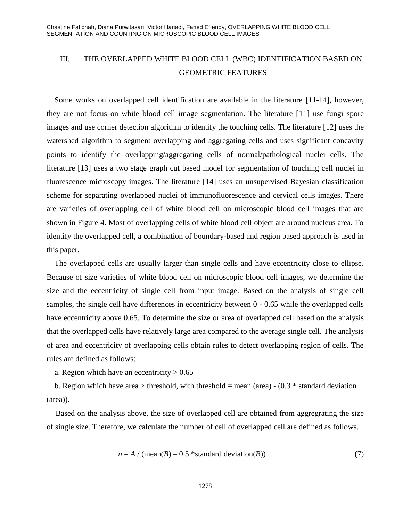# III. THE OVERLAPPED WHITE BLOOD CELL (WBC) IDENTIFICATION BASED ON GEOMETRIC FEATURES

Some works on overlapped cell identification are available in the literature [11-14], however, they are not focus on white blood cell image segmentation. The literature [11] use fungi spore images and use corner detection algorithm to identify the touching cells. The literature [12] uses the watershed algorithm to segment overlapping and aggregating cells and uses significant concavity points to identify the overlapping/aggregating cells of normal/pathological nuclei cells. The literature [13] uses a two stage graph cut based model for segmentation of touching cell nuclei in fluorescence microscopy images. The literature [14] uses an unsupervised Bayesian classification scheme for separating overlapped nuclei of immunofluorescence and cervical cells images. There are varieties of overlapping cell of white blood cell on microscopic blood cell images that are shown in Figure 4. Most of overlapping cells of white blood cell object are around nucleus area. To identify the overlapped cell, a combination of boundary-based and region based approach is used in this paper.

The overlapped cells are usually larger than single cells and have eccentricity close to ellipse. Because of size varieties of white blood cell on microscopic blood cell images, we determine the size and the eccentricity of single cell from input image. Based on the analysis of single cell samples, the single cell have differences in eccentricity between 0 - 0.65 while the overlapped cells have eccentricity above 0.65. To determine the size or area of overlapped cell based on the analysis that the overlapped cells have relatively large area compared to the average single cell. The analysis of area and eccentricity of overlapping cells obtain rules to detect overlapping region of cells. The rules are defined as follows:

a. Region which have an eccentricity  $> 0.65$ 

b. Region which have area  $>$  threshold, with threshold = mean (area) - (0.3  $*$  standard deviation (area)).

Based on the analysis above, the size of overlapped cell are obtained from aggregrating the size of single size. Therefore, we calculate the number of cell of overlapped cell are defined as follows.

$$
n = A / (mean(B) - 0.5 * standard deviation(B))
$$
\n<sup>(7)</sup>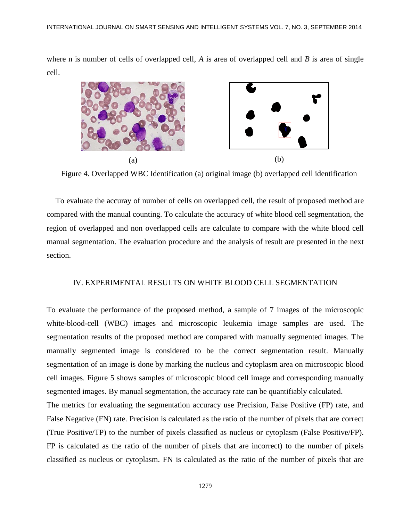where n is number of cells of overlapped cell, *A* is area of overlapped cell and *B* is area of single cell.



Figure 4. Overlapped WBC Identification (a) original image (b) overlapped cell identification

To evaluate the accuray of number of cells on overlapped cell, the result of proposed method are compared with the manual counting. To calculate the accuracy of white blood cell segmentation, the region of overlapped and non overlapped cells are calculate to compare with the white blood cell manual segmentation. The evaluation procedure and the analysis of result are presented in the next section.

# IV. EXPERIMENTAL RESULTS ON WHITE BLOOD CELL SEGMENTATION

To evaluate the performance of the proposed method, a sample of 7 images of the microscopic white-blood-cell (WBC) images and microscopic leukemia image samples are used. The segmentation results of the proposed method are compared with manually segmented images. The manually segmented image is considered to be the correct segmentation result. Manually segmentation of an image is done by marking the nucleus and cytoplasm area on microscopic blood cell images. Figure 5 shows samples of microscopic blood cell image and corresponding manually segmented images. By manual segmentation, the accuracy rate can be quantifiably calculated.

The metrics for evaluating the segmentation accuracy use Precision, False Positive (FP) rate, and False Negative (FN) rate. Precision is calculated as the ratio of the number of pixels that are correct (True Positive/TP) to the number of pixels classified as nucleus or cytoplasm (False Positive/FP). FP is calculated as the ratio of the number of pixels that are incorrect) to the number of pixels classified as nucleus or cytoplasm. FN is calculated as the ratio of the number of pixels that are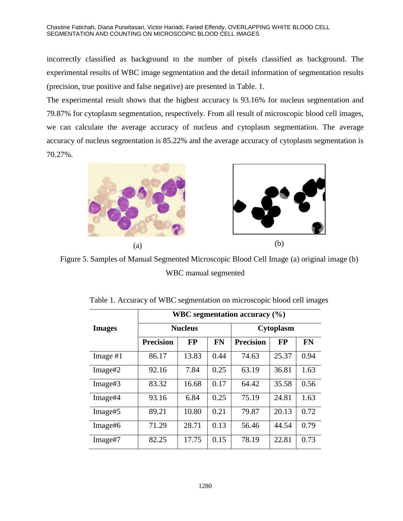#### Chastine Fatichah, Diana Purwitasari, Victor Hariadi, Faried Effendy, OVERLAPPING WHITE BLOOD CELL SEGMENTATION AND COUNTING ON MICROSCOPIC BLOOD CELL IMAGES

incorrectly classified as background to the number of pixels classified as background. The experimental results of WBC image segmentation and the detail information of segmentation results (precision, true positive and false negative) are presented in Table. 1.

The experimental result shows that the highest accuracy is 93.16% for nucleus segmentation and 79.87% for cytoplasm segmentation, respectively. From all result of microscopic blood cell images, we can calculate the average accuracy of nucleus and cytoplasm segmentation. The average accuracy of nucleus segmentation is 85.22% and the average accuracy of cytoplasm segmentation is 70.27%.



Figure 5. Samples of Manual Segmented Microscopic Blood Cell Image (a) original image (b) WBC manual segmented

|               | WBC segmentation accuracy $(\% )$ |           |           |                  |           |           |  |
|---------------|-----------------------------------|-----------|-----------|------------------|-----------|-----------|--|
| <b>Images</b> | <b>Nucleus</b>                    |           |           | <b>Cytoplasm</b> |           |           |  |
|               | <b>Precision</b>                  | <b>FP</b> | <b>FN</b> | <b>Precision</b> | <b>FP</b> | <b>FN</b> |  |
| Image $#1$    | 86.17                             | 13.83     | 0.44      | 74.63            | 25.37     | 0.94      |  |
| Image#2       | 92.16                             | 7.84      | 0.25      | 63.19            | 36.81     | 1.63      |  |
| Image#3       | 83.32                             | 16.68     | 0.17      | 64.42            | 35.58     | 0.56      |  |
| Image#4       | 93.16                             | 6.84      | 0.25      | 75.19            | 24.81     | 1.63      |  |
| Image#5       | 89.21                             | 10.80     | 0.21      | 79.87            | 20.13     | 0.72      |  |
| Image#6       | 71.29                             | 28.71     | 0.13      | 56.46            | 44.54     | 0.79      |  |
| Image#7       | 82.25                             | 17.75     | 0.15      | 78.19            | 22.81     | 0.73      |  |

Table 1. Accuracy of WBC segmentation on microscopic blood cell images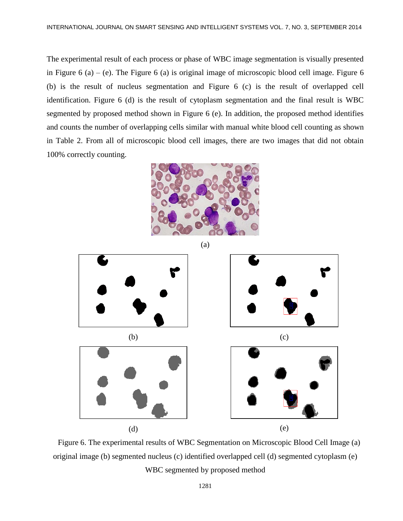The experimental result of each process or phase of WBC image segmentation is visually presented in Figure 6 (a) – (e). The Figure 6 (a) is original image of microscopic blood cell image. Figure 6 (b) is the result of nucleus segmentation and Figure 6 (c) is the result of overlapped cell identification. Figure 6 (d) is the result of cytoplasm segmentation and the final result is WBC segmented by proposed method shown in Figure 6 (e). In addition, the proposed method identifies and counts the number of overlapping cells similar with manual white blood cell counting as shown in Table 2. From all of microscopic blood cell images, there are two images that did not obtain 100% correctly counting.





Figure 6. The experimental results of WBC Segmentation on Microscopic Blood Cell Image (a) original image (b) segmented nucleus (c) identified overlapped cell (d) segmented cytoplasm (e) WBC segmented by proposed method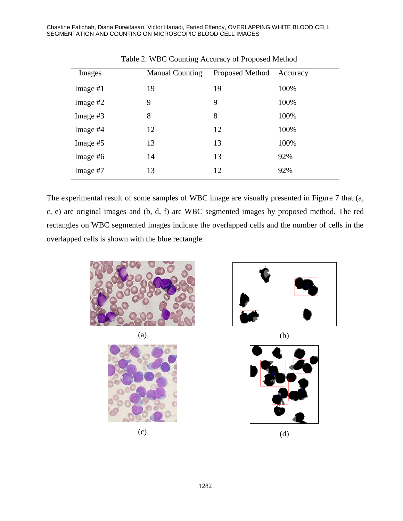Chastine Fatichah, Diana Purwitasari, Victor Hariadi, Faried Effendy, OVERLAPPING WHITE BLOOD CELL SEGMENTATION AND COUNTING ON MICROSCOPIC BLOOD CELL IMAGES

| Images     | <b>Manual Counting</b> | Proposed Method Accuracy |      |
|------------|------------------------|--------------------------|------|
| Image $#1$ | 19                     | 19                       | 100% |
| Image $#2$ | 9                      | 9                        | 100% |
| Image $#3$ | 8                      | 8                        | 100% |
| Image #4   | 12                     | 12                       | 100% |
| Image #5   | 13                     | 13                       | 100% |
| Image #6   | 14                     | 13                       | 92%  |
| Image #7   | 13                     | 12                       | 92%  |

Table 2. WBC Counting Accuracy of Proposed Method

The experimental result of some samples of WBC image are visually presented in Figure 7 that (a, c, e) are original images and (b, d, f) are WBC segmented images by proposed method. The red rectangles on WBC segmented images indicate the overlapped cells and the number of cells in the overlapped cells is shown with the blue rectangle.



 $(a)$  (b)









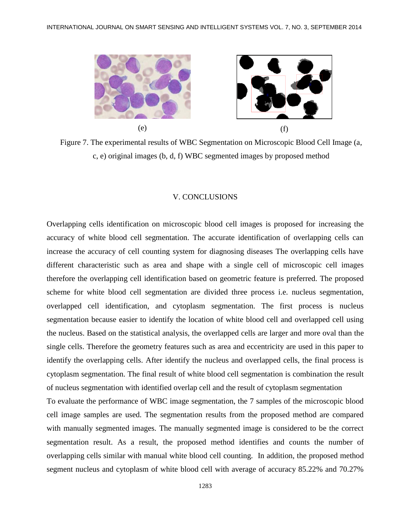

Figure 7. The experimental results of WBC Segmentation on Microscopic Blood Cell Image (a, c, e) original images (b, d, f) WBC segmented images by proposed method

#### V. CONCLUSIONS

Overlapping cells identification on microscopic blood cell images is proposed for increasing the accuracy of white blood cell segmentation. The accurate identification of overlapping cells can increase the accuracy of cell counting system for diagnosing diseases The overlapping cells have different characteristic such as area and shape with a single cell of microscopic cell images therefore the overlapping cell identification based on geometric feature is preferred. The proposed scheme for white blood cell segmentation are divided three process i.e. nucleus segmentation, overlapped cell identification, and cytoplasm segmentation. The first process is nucleus segmentation because easier to identify the location of white blood cell and overlapped cell using the nucleus. Based on the statistical analysis, the overlapped cells are larger and more oval than the single cells. Therefore the geometry features such as area and eccentricity are used in this paper to identify the overlapping cells. After identify the nucleus and overlapped cells, the final process is cytoplasm segmentation. The final result of white blood cell segmentation is combination the result of nucleus segmentation with identified overlap cell and the result of cytoplasm segmentation

To evaluate the performance of WBC image segmentation, the 7 samples of the microscopic blood cell image samples are used. The segmentation results from the proposed method are compared with manually segmented images. The manually segmented image is considered to be the correct segmentation result. As a result, the proposed method identifies and counts the number of overlapping cells similar with manual white blood cell counting. In addition, the proposed method segment nucleus and cytoplasm of white blood cell with average of accuracy 85.22% and 70.27%

1283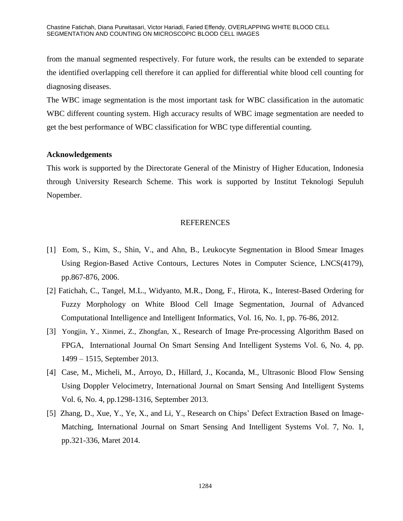from the manual segmented respectively. For future work, the results can be extended to separate the identified overlapping cell therefore it can applied for differential white blood cell counting for diagnosing diseases.

The WBC image segmentation is the most important task for WBC classification in the automatic WBC different counting system. High accuracy results of WBC image segmentation are needed to get the best performance of WBC classification for WBC type differential counting.

# **Acknowledgements**

This work is supported by the Directorate General of the Ministry of Higher Education, Indonesia through University Research Scheme. This work is supported by Institut Teknologi Sepuluh Nopember.

# REFERENCES

- [1] Eom, S., Kim, S., Shin, V., and Ahn, B., Leukocyte Segmentation in Blood Smear Images Using Region-Based Active Contours, Lectures Notes in Computer Science, LNCS(4179), pp.867-876, 2006.
- [2] Fatichah, C., Tangel, M.L., Widyanto, M.R., Dong, F., Hirota, K., Interest-Based Ordering for Fuzzy Morphology on White Blood Cell Image Segmentation, Journal of Advanced Computational Intelligence and Intelligent Informatics, Vol. 16, No. 1, pp. 76-86, 2012.
- [3] Yongjin, Y., Xinmei, Z., Zhongfan, X., Research of Image Pre-processing Algorithm Based on FPGA, International Journal On Smart Sensing And Intelligent Systems Vol. 6, No. 4, pp. 1499 – 1515, September 2013.
- [4] Case, M., Micheli, M., Arroyo, D., Hillard, J., Kocanda, M., Ultrasonic Blood Flow Sensing Using Doppler Velocimetry, International Journal on Smart Sensing And Intelligent Systems Vol. 6, No. 4, pp.1298-1316, September 2013.
- [5] Zhang, D., Xue, Y., Ye, X., and Li, Y., Research on Chips' Defect Extraction Based on Image-Matching, International Journal on Smart Sensing And Intelligent Systems Vol. 7, No. 1, pp.321-336, Maret 2014.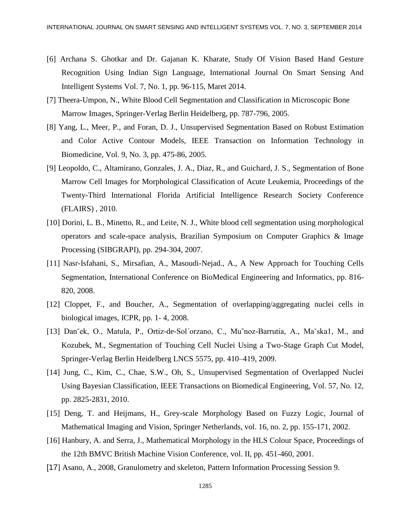- [6] Archana S. Ghotkar and Dr. Gajanan K. Kharate, Study Of Vision Based Hand Gesture Recognition Using Indian Sign Language, International Journal On Smart Sensing And Intelligent Systems Vol. 7, No. 1, pp. 96-115, Maret 2014.
- [7] Theera-Umpon, N., White Blood Cell Segmentation and Classification in Microscopic Bone Marrow Images, Springer-Verlag Berlin Heidelberg, pp. 787-796, 2005.
- [8] Yang, L., Meer, P., and Foran, D. J., Unsupervised Segmentation Based on Robust Estimation and Color Active Contour Models, IEEE Transaction on Information Technology in Biomedicine, Vol. 9, No. 3, pp. 475-86, 2005.
- [9] Leopoldo, C., Altamirano, Gonzales, J. A., Diaz, R., and Guichard, J. S., Segmentation of Bone Marrow Cell Images for Morphological Classification of Acute Leukemia, Proceedings of the Twenty-Third International Florida Artificial Intelligence Research Society Conference (FLAIRS) , 2010.
- [10] Dorini, L. B., Minetto, R., and Leite, N. J., White blood cell segmentation using morphological operators and scale-space analysis, Brazilian Symposium on Computer Graphics & Image Processing (SIBGRAPI), pp. 294-304, 2007.
- [11] Nasr-Isfahani, S., Mirsafian, A., Masoudi-Nejad., A., A New Approach for Touching Cells Segmentation, International Conference on BioMedical Engineering and Informatics, pp. 816- 820, 2008.
- [12] Cloppet, F., and Boucher, A., Segmentation of overlapping/aggregating nuclei cells in biological images, ICPR, pp. 1- 4, 2008.
- [13] Danˇek, O., Matula, P., Ortiz-de-Sol´orzano, C., Mu˜noz-Barrutia, A., Maˇska1, M., and Kozubek, M., Segmentation of Touching Cell Nuclei Using a Two-Stage Graph Cut Model, Springer-Verlag Berlin Heidelberg LNCS 5575, pp. 410–419, 2009.
- [14] Jung, C., Kim, C., Chae, S.W., Oh, S., Unsupervised Segmentation of Overlapped Nuclei Using Bayesian Classification, IEEE Transactions on Biomedical Engineering, Vol. 57, No. 12, pp. 2825-2831, 2010.
- [15] Deng, T. and Heijmans, H., Grey-scale Morphology Based on Fuzzy Logic, Journal of Mathematical Imaging and Vision, Springer Netherlands, vol. 16, no. 2, pp. 155-171, 2002.
- [16] Hanbury, A. and Serra, J., Mathematical Morphology in the HLS Colour Space, Proceedings of the 12th BMVC British Machine Vision Conference, vol. II, pp. 451-460, 2001.
- [17] Asano, A., 2008, Granulometry and skeleton, Pattern Information Processing Session 9.